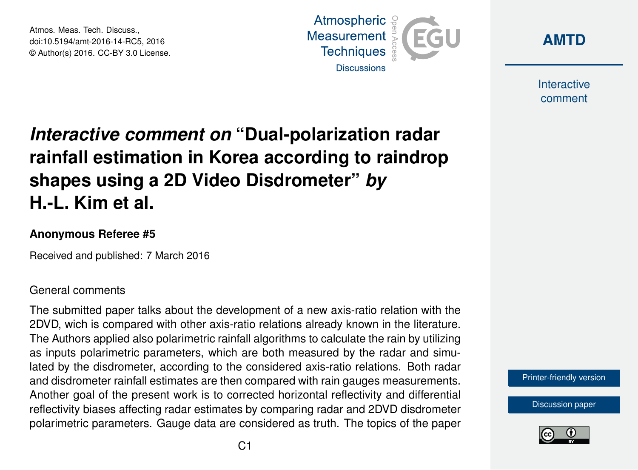Atmos. Meas. Tech. Discuss., doi:10.5194/amt-2016-14-RC5, 2016 © Author(s) 2016. CC-BY 3.0 License.





Interactive comment

# *Interactive comment on* **"Dual-polarization radar rainfall estimation in Korea according to raindrop shapes using a 2D Video Disdrometer"** *by* **H.-L. Kim et al.**

#### **Anonymous Referee #5**

Received and published: 7 March 2016

#### General comments

The submitted paper talks about the development of a new axis-ratio relation with the 2DVD, wich is compared with other axis-ratio relations already known in the literature. The Authors applied also polarimetric rainfall algorithms to calculate the rain by utilizing as inputs polarimetric parameters, which are both measured by the radar and simulated by the disdrometer, according to the considered axis-ratio relations. Both radar and disdrometer rainfall estimates are then compared with rain gauges measurements. Another goal of the present work is to corrected horizontal reflectivity and differential reflectivity biases affecting radar estimates by comparing radar and 2DVD disdrometer polarimetric parameters. Gauge data are considered as truth. The topics of the paper

[Printer-friendly version](http://www.atmos-meas-tech-discuss.net/amt-2016-14/amt-2016-14-RC5-print.pdf)

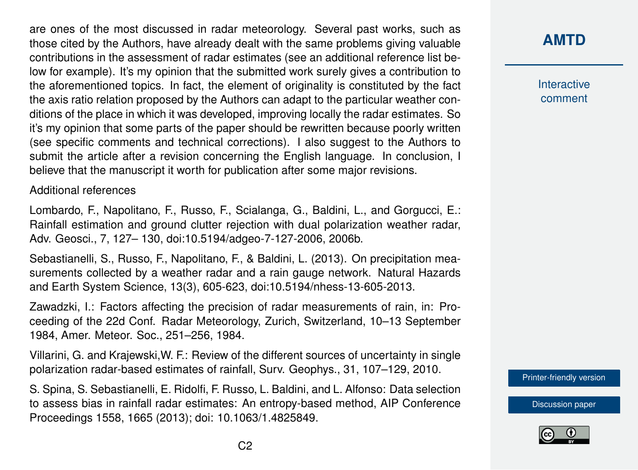are ones of the most discussed in radar meteorology. Several past works, such as those cited by the Authors, have already dealt with the same problems giving valuable contributions in the assessment of radar estimates (see an additional reference list below for example). It's my opinion that the submitted work surely gives a contribution to the aforementioned topics. In fact, the element of originality is constituted by the fact the axis ratio relation proposed by the Authors can adapt to the particular weather conditions of the place in which it was developed, improving locally the radar estimates. So it's my opinion that some parts of the paper should be rewritten because poorly written (see specific comments and technical corrections). I also suggest to the Authors to submit the article after a revision concerning the English language. In conclusion, I believe that the manuscript it worth for publication after some major revisions.

Additional references

Lombardo, F., Napolitano, F., Russo, F., Scialanga, G., Baldini, L., and Gorgucci, E.: Rainfall estimation and ground clutter rejection with dual polarization weather radar, Adv. Geosci., 7, 127– 130, doi:10.5194/adgeo-7-127-2006, 2006b.

Sebastianelli, S., Russo, F., Napolitano, F., & Baldini, L. (2013). On precipitation measurements collected by a weather radar and a rain gauge network. Natural Hazards and Earth System Science, 13(3), 605-623, doi:10.5194/nhess-13-605-2013.

Zawadzki, I.: Factors affecting the precision of radar measurements of rain, in: Proceeding of the 22d Conf. Radar Meteorology, Zurich, Switzerland, 10–13 September 1984, Amer. Meteor. Soc., 251–256, 1984.

Villarini, G. and Krajewski,W. F.: Review of the different sources of uncertainty in single polarization radar-based estimates of rainfall, Surv. Geophys., 31, 107–129, 2010.

S. Spina, S. Sebastianelli, E. Ridolfi, F. Russo, L. Baldini, and L. Alfonso: Data selection to assess bias in rainfall radar estimates: An entropy-based method, AIP Conference Proceedings 1558, 1665 (2013); doi: 10.1063/1.4825849.



Interactive comment

[Printer-friendly version](http://www.atmos-meas-tech-discuss.net/amt-2016-14/amt-2016-14-RC5-print.pdf)

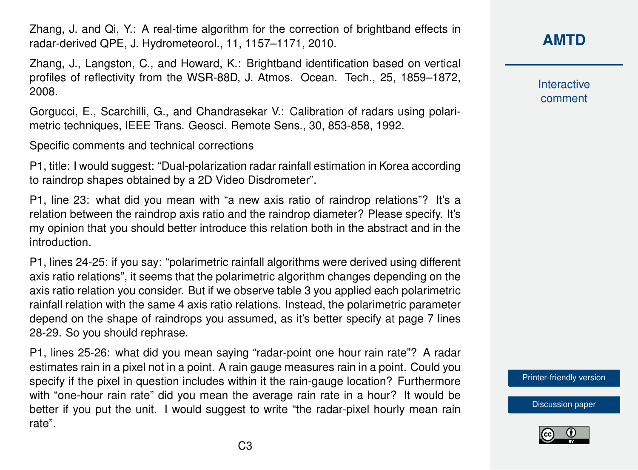Zhang, J. and Qi, Y.: A real-time algorithm for the correction of brightband effects in radar-derived QPE, J. Hydrometeorol., 11, 1157–1171, 2010.

Zhang, J., Langston, C., and Howard, K.: Brightband identification based on vertical profiles of reflectivity from the WSR-88D, J. Atmos. Ocean. Tech., 25, 1859–1872, 2008.

Gorgucci, E., Scarchilli, G., and Chandrasekar V.: Calibration of radars using polarimetric techniques, IEEE Trans. Geosci. Remote Sens., 30, 853-858, 1992.

Specific comments and technical corrections

P1, title: I would suggest: "Dual-polarization radar rainfall estimation in Korea according to raindrop shapes obtained by a 2D Video Disdrometer".

P1, line 23: what did you mean with "a new axis ratio of raindrop relations"? It's a relation between the raindrop axis ratio and the raindrop diameter? Please specify. It's my opinion that you should better introduce this relation both in the abstract and in the introduction.

P1, lines 24-25: if you say: "polarimetric rainfall algorithms were derived using different axis ratio relations", it seems that the polarimetric algorithm changes depending on the axis ratio relation you consider. But if we observe table 3 you applied each polarimetric rainfall relation with the same 4 axis ratio relations. Instead, the polarimetric parameter depend on the shape of raindrops you assumed, as it's better specify at page 7 lines 28-29. So you should rephrase.

P1, lines 25-26: what did you mean saying "radar-point one hour rain rate"? A radar estimates rain in a pixel not in a point. A rain gauge measures rain in a point. Could you specify if the pixel in question includes within it the rain-gauge location? Furthermore with "one-hour rain rate" did you mean the average rain rate in a hour? It would be better if you put the unit. I would suggest to write "the radar-pixel hourly mean rain rate".

## **[AMTD](http://www.atmos-meas-tech-discuss.net/)**

**Interactive** comment

[Printer-friendly version](http://www.atmos-meas-tech-discuss.net/amt-2016-14/amt-2016-14-RC5-print.pdf)

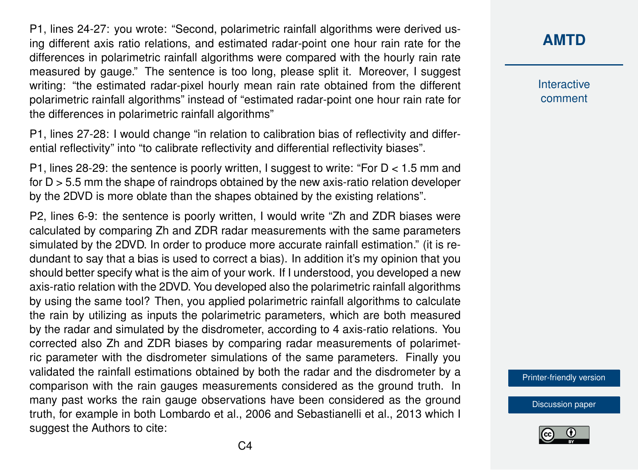P1, lines 24-27: you wrote: "Second, polarimetric rainfall algorithms were derived using different axis ratio relations, and estimated radar-point one hour rain rate for the differences in polarimetric rainfall algorithms were compared with the hourly rain rate measured by gauge." The sentence is too long, please split it. Moreover, I suggest writing: "the estimated radar-pixel hourly mean rain rate obtained from the different polarimetric rainfall algorithms" instead of "estimated radar-point one hour rain rate for the differences in polarimetric rainfall algorithms"

P1, lines 27-28: I would change "in relation to calibration bias of reflectivity and differential reflectivity" into "to calibrate reflectivity and differential reflectivity biases".

P1, lines 28-29: the sentence is poorly written, I suggest to write: "For D < 1.5 mm and for D > 5.5 mm the shape of raindrops obtained by the new axis-ratio relation developer by the 2DVD is more oblate than the shapes obtained by the existing relations".

P2, lines 6-9: the sentence is poorly written, I would write "Zh and ZDR biases were calculated by comparing Zh and ZDR radar measurements with the same parameters simulated by the 2DVD. In order to produce more accurate rainfall estimation." (it is redundant to say that a bias is used to correct a bias). In addition it's my opinion that you should better specify what is the aim of your work. If I understood, you developed a new axis-ratio relation with the 2DVD. You developed also the polarimetric rainfall algorithms by using the same tool? Then, you applied polarimetric rainfall algorithms to calculate the rain by utilizing as inputs the polarimetric parameters, which are both measured by the radar and simulated by the disdrometer, according to 4 axis-ratio relations. You corrected also Zh and ZDR biases by comparing radar measurements of polarimetric parameter with the disdrometer simulations of the same parameters. Finally you validated the rainfall estimations obtained by both the radar and the disdrometer by a comparison with the rain gauges measurements considered as the ground truth. In many past works the rain gauge observations have been considered as the ground truth, for example in both Lombardo et al., 2006 and Sebastianelli et al., 2013 which I suggest the Authors to cite:

#### **[AMTD](http://www.atmos-meas-tech-discuss.net/)**

Interactive comment

[Printer-friendly version](http://www.atmos-meas-tech-discuss.net/amt-2016-14/amt-2016-14-RC5-print.pdf)

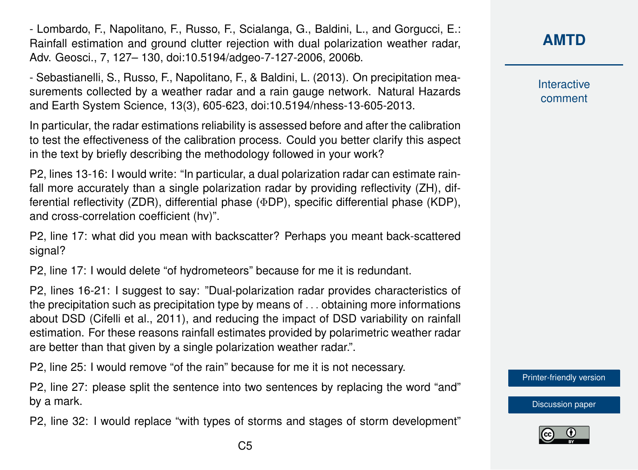- Lombardo, F., Napolitano, F., Russo, F., Scialanga, G., Baldini, L., and Gorgucci, E.: Rainfall estimation and ground clutter rejection with dual polarization weather radar, Adv. Geosci., 7, 127– 130, doi:10.5194/adgeo-7-127-2006, 2006b.

- Sebastianelli, S., Russo, F., Napolitano, F., & Baldini, L. (2013). On precipitation measurements collected by a weather radar and a rain gauge network. Natural Hazards and Earth System Science, 13(3), 605-623, doi:10.5194/nhess-13-605-2013.

In particular, the radar estimations reliability is assessed before and after the calibration to test the effectiveness of the calibration process. Could you better clarify this aspect in the text by briefly describing the methodology followed in your work?

P2, lines 13-16: I would write: "In particular, a dual polarization radar can estimate rainfall more accurately than a single polarization radar by providing reflectivity (ZH), differential reflectivity (ZDR), differential phase (ΦDP), specific differential phase (KDP), and cross-correlation coefficient (hv)".

P2, line 17: what did you mean with backscatter? Perhaps you meant back-scattered signal?

P2, line 17: I would delete "of hydrometeors" because for me it is redundant.

P2, lines 16-21: I suggest to say: "Dual-polarization radar provides characteristics of the precipitation such as precipitation type by means of . . . obtaining more informations about DSD (Cifelli et al., 2011), and reducing the impact of DSD variability on rainfall estimation. For these reasons rainfall estimates provided by polarimetric weather radar are better than that given by a single polarization weather radar.".

P2, line 25: I would remove "of the rain" because for me it is not necessary.

P2, line 27: please split the sentence into two sentences by replacing the word "and" by a mark.

P2, line 32: I would replace "with types of storms and stages of storm development"

## **[AMTD](http://www.atmos-meas-tech-discuss.net/)**

**Interactive** comment

[Printer-friendly version](http://www.atmos-meas-tech-discuss.net/amt-2016-14/amt-2016-14-RC5-print.pdf)

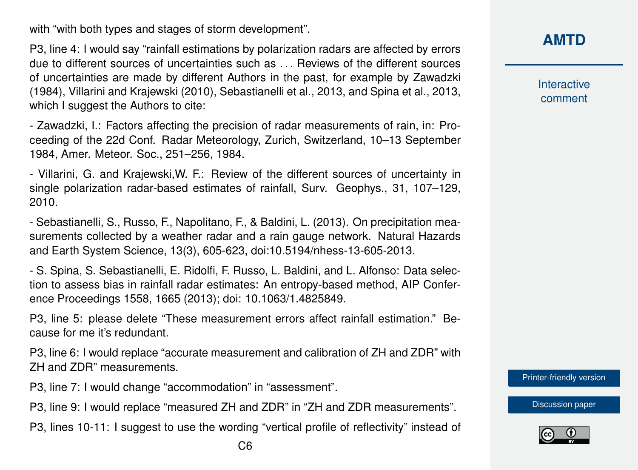with "with both types and stages of storm development".

P3, line 4: I would say "rainfall estimations by polarization radars are affected by errors due to different sources of uncertainties such as . . . Reviews of the different sources of uncertainties are made by different Authors in the past, for example by Zawadzki (1984), Villarini and Krajewski (2010), Sebastianelli et al., 2013, and Spina et al., 2013, which I suggest the Authors to cite:

- Zawadzki, I.: Factors affecting the precision of radar measurements of rain, in: Proceeding of the 22d Conf. Radar Meteorology, Zurich, Switzerland, 10–13 September 1984, Amer. Meteor. Soc., 251–256, 1984.

- Villarini, G. and Krajewski,W. F.: Review of the different sources of uncertainty in single polarization radar-based estimates of rainfall, Surv. Geophys., 31, 107–129, 2010.

- Sebastianelli, S., Russo, F., Napolitano, F., & Baldini, L. (2013). On precipitation measurements collected by a weather radar and a rain gauge network. Natural Hazards and Earth System Science, 13(3), 605-623, doi:10.5194/nhess-13-605-2013.

- S. Spina, S. Sebastianelli, E. Ridolfi, F. Russo, L. Baldini, and L. Alfonso: Data selection to assess bias in rainfall radar estimates: An entropy-based method, AIP Conference Proceedings 1558, 1665 (2013); doi: 10.1063/1.4825849.

P3, line 5: please delete "These measurement errors affect rainfall estimation." Because for me it's redundant.

P3, line 6: I would replace "accurate measurement and calibration of ZH and ZDR" with ZH and ZDR" measurements.

P3, line 7: I would change "accommodation" in "assessment".

P3, line 9: I would replace "measured ZH and ZDR" in "ZH and ZDR measurements".

P3, lines 10-11: I suggest to use the wording "vertical profile of reflectivity" instead of

Interactive comment

[Printer-friendly version](http://www.atmos-meas-tech-discuss.net/amt-2016-14/amt-2016-14-RC5-print.pdf)

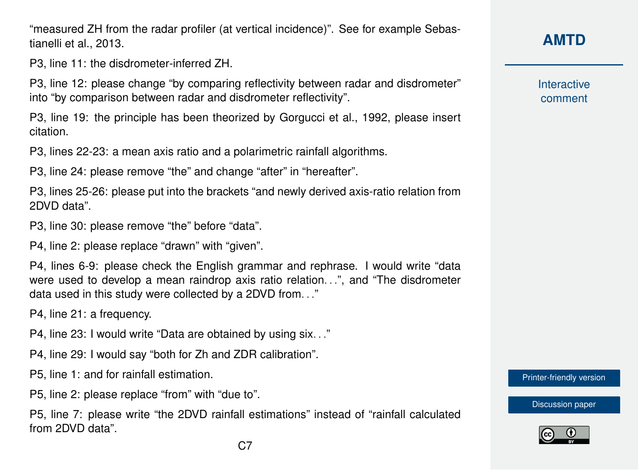"measured ZH from the radar profiler (at vertical incidence)". See for example Sebastianelli et al., 2013.

P3, line 11: the disdrometer-inferred ZH.

P3, line 12: please change "by comparing reflectivity between radar and disdrometer" into "by comparison between radar and disdrometer reflectivity".

P3, line 19: the principle has been theorized by Gorgucci et al., 1992, please insert citation.

P3, lines 22-23: a mean axis ratio and a polarimetric rainfall algorithms.

P3, line 24: please remove "the" and change "after" in "hereafter".

P3, lines 25-26: please put into the brackets "and newly derived axis-ratio relation from 2DVD data".

P3, line 30: please remove "the" before "data".

P4, line 2: please replace "drawn" with "given".

P4, lines 6-9: please check the English grammar and rephrase. I would write "data were used to develop a mean raindrop axis ratio relation. ..", and "The disdrometer data used in this study were collected by a 2DVD from. . ."

P4, line 21: a frequency.

P4, line 23: I would write "Data are obtained by using six. . ."

P4, line 29: I would say "both for Zh and ZDR calibration".

P5, line 1: and for rainfall estimation.

P5, line 2: please replace "from" with "due to".

P5, line 7: please write "the 2DVD rainfall estimations" instead of "rainfall calculated from 2DVD data".

**[AMTD](http://www.atmos-meas-tech-discuss.net/)**

Interactive comment

[Printer-friendly version](http://www.atmos-meas-tech-discuss.net/amt-2016-14/amt-2016-14-RC5-print.pdf)

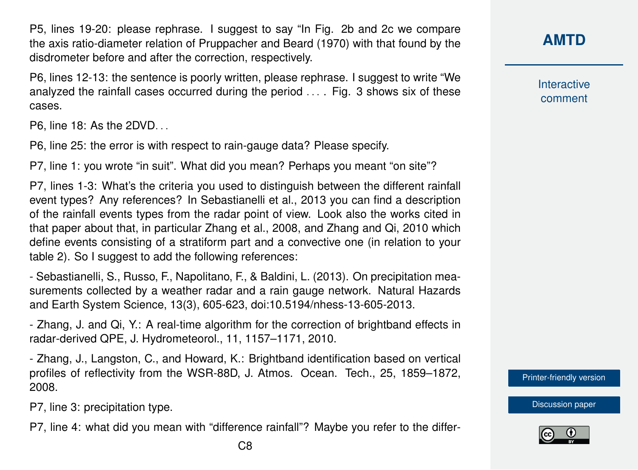P5, lines 19-20: please rephrase. I suggest to say "In Fig. 2b and 2c we compare the axis ratio-diameter relation of Pruppacher and Beard (1970) with that found by the disdrometer before and after the correction, respectively.

P6, lines 12-13: the sentence is poorly written, please rephrase. I suggest to write "We analyzed the rainfall cases occurred during the period . . . . Fig. 3 shows six of these cases.

P6, line 18: As the 2DVD. . .

P6, line 25: the error is with respect to rain-gauge data? Please specify.

P7, line 1: you wrote "in suit". What did you mean? Perhaps you meant "on site"?

P7, lines 1-3: What's the criteria you used to distinguish between the different rainfall event types? Any references? In Sebastianelli et al., 2013 you can find a description of the rainfall events types from the radar point of view. Look also the works cited in that paper about that, in particular Zhang et al., 2008, and Zhang and Qi, 2010 which define events consisting of a stratiform part and a convective one (in relation to your table 2). So I suggest to add the following references:

- Sebastianelli, S., Russo, F., Napolitano, F., & Baldini, L. (2013). On precipitation measurements collected by a weather radar and a rain gauge network. Natural Hazards and Earth System Science, 13(3), 605-623, doi:10.5194/nhess-13-605-2013.

- Zhang, J. and Qi, Y.: A real-time algorithm for the correction of brightband effects in radar-derived QPE, J. Hydrometeorol., 11, 1157–1171, 2010.

- Zhang, J., Langston, C., and Howard, K.: Brightband identification based on vertical profiles of reflectivity from the WSR-88D, J. Atmos. Ocean. Tech., 25, 1859–1872, 2008.

P7, line 3: precipitation type.

P7, line 4: what did you mean with "difference rainfall"? Maybe you refer to the differ-

**Interactive** comment

[Printer-friendly version](http://www.atmos-meas-tech-discuss.net/amt-2016-14/amt-2016-14-RC5-print.pdf)

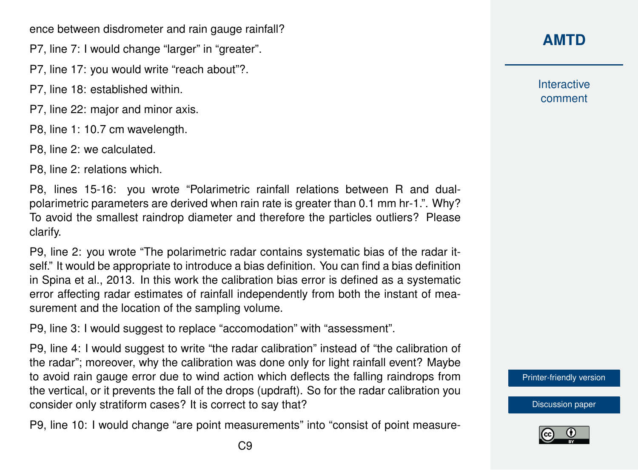ence between disdrometer and rain gauge rainfall?

- P7, line 7: I would change "larger" in "greater".
- P7, line 17: you would write "reach about"?.
- P7, line 18: established within.
- P7, line 22: major and minor axis.
- P8, line 1: 10.7 cm wavelength.
- P8, line 2: we calculated.

P8, line 2: relations which.

P8, lines 15-16: you wrote "Polarimetric rainfall relations between R and dualpolarimetric parameters are derived when rain rate is greater than 0.1 mm hr-1.". Why? To avoid the smallest raindrop diameter and therefore the particles outliers? Please clarify.

P9, line 2: you wrote "The polarimetric radar contains systematic bias of the radar itself." It would be appropriate to introduce a bias definition. You can find a bias definition in Spina et al., 2013. In this work the calibration bias error is defined as a systematic error affecting radar estimates of rainfall independently from both the instant of measurement and the location of the sampling volume.

P9, line 3: I would suggest to replace "accomodation" with "assessment".

P9, line 4: I would suggest to write "the radar calibration" instead of "the calibration of the radar"; moreover, why the calibration was done only for light rainfall event? Maybe to avoid rain gauge error due to wind action which deflects the falling raindrops from the vertical, or it prevents the fall of the drops (updraft). So for the radar calibration you consider only stratiform cases? It is correct to say that?

P9, line 10: I would change "are point measurements" into "consist of point measure-

# **[AMTD](http://www.atmos-meas-tech-discuss.net/)**

Interactive comment

[Printer-friendly version](http://www.atmos-meas-tech-discuss.net/amt-2016-14/amt-2016-14-RC5-print.pdf)

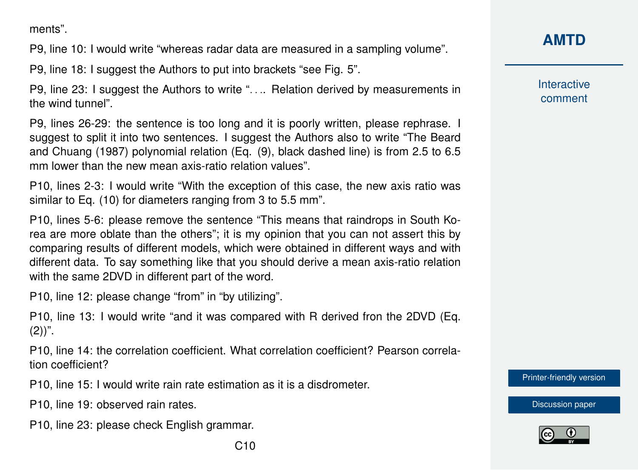ments".

P9, line 10: I would write "whereas radar data are measured in a sampling volume".

P9, line 18: I suggest the Authors to put into brackets "see Fig. 5".

P9, line 23: I suggest the Authors to write ". . .. Relation derived by measurements in the wind tunnel".

P9, lines 26-29: the sentence is too long and it is poorly written, please rephrase. I suggest to split it into two sentences. I suggest the Authors also to write "The Beard and Chuang (1987) polynomial relation (Eq. (9), black dashed line) is from 2.5 to 6.5 mm lower than the new mean axis-ratio relation values".

P10, lines 2-3: I would write "With the exception of this case, the new axis ratio was similar to Eq. (10) for diameters ranging from 3 to 5.5 mm".

P10, lines 5-6: please remove the sentence "This means that raindrops in South Korea are more oblate than the others"; it is my opinion that you can not assert this by comparing results of different models, which were obtained in different ways and with different data. To say something like that you should derive a mean axis-ratio relation with the same 2DVD in different part of the word.

P10, line 12: please change "from" in "by utilizing".

P10, line 13: I would write "and it was compared with R derived fron the 2DVD (Eq.  $(2)$ ".

P10, line 14: the correlation coefficient. What correlation coefficient? Pearson correlation coefficient?

P10, line 15: I would write rain rate estimation as it is a disdrometer.

P10, line 19: observed rain rates.

P10, line 23: please check English grammar.

Interactive comment

[Printer-friendly version](http://www.atmos-meas-tech-discuss.net/amt-2016-14/amt-2016-14-RC5-print.pdf)

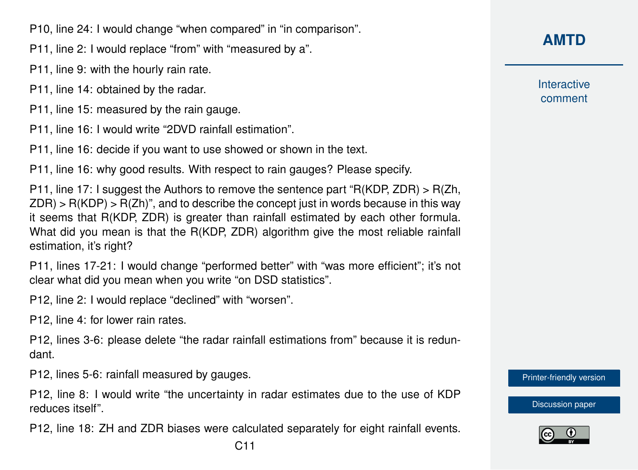P10, line 24: I would change "when compared" in "in comparison".

P11, line 2: I would replace "from" with "measured by a".

P11, line 9: with the hourly rain rate.

P11, line 14: obtained by the radar.

P11, line 15: measured by the rain gauge.

P11, line 16: I would write "2DVD rainfall estimation".

P11, line 16: decide if you want to use showed or shown in the text.

P11, line 16: why good results. With respect to rain gauges? Please specify.

P11, line 17: I suggest the Authors to remove the sentence part "R(KDP, ZDR) > R(Zh,  $ZDR$ ) > R(KDP) > R(Zh)", and to describe the concept just in words because in this way it seems that R(KDP, ZDR) is greater than rainfall estimated by each other formula. What did you mean is that the R(KDP, ZDR) algorithm give the most reliable rainfall estimation, it's right?

P11, lines 17-21: I would change "performed better" with "was more efficient"; it's not clear what did you mean when you write "on DSD statistics".

P12, line 2: I would replace "declined" with "worsen".

P12, line 4: for lower rain rates.

P12, lines 3-6: please delete "the radar rainfall estimations from" because it is redundant.

P12, lines 5-6: rainfall measured by gauges.

P12, line 8: I would write "the uncertainty in radar estimates due to the use of KDP reduces itself".

P12, line 18: ZH and ZDR biases were calculated separately for eight rainfall events.

**[AMTD](http://www.atmos-meas-tech-discuss.net/)**

**Interactive** comment

[Printer-friendly version](http://www.atmos-meas-tech-discuss.net/amt-2016-14/amt-2016-14-RC5-print.pdf)

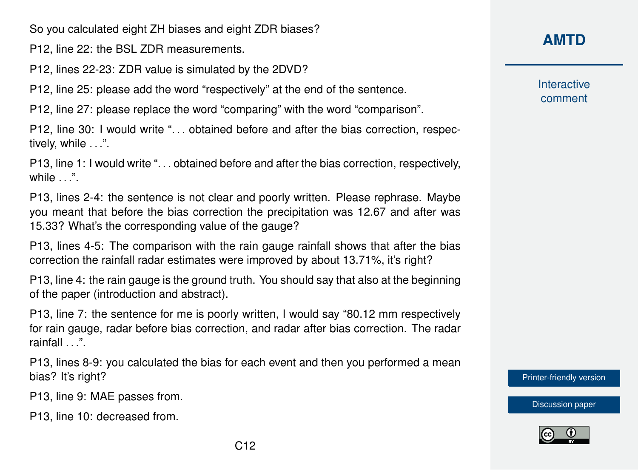So you calculated eight ZH biases and eight ZDR biases?

P12, line 22: the BSL ZDR measurements.

P12, lines 22-23: ZDR value is simulated by the 2DVD?

P12, line 25: please add the word "respectively" at the end of the sentence.

P12, line 27: please replace the word "comparing" with the word "comparison".

P12, line 30: I would write "... obtained before and after the bias correction, respectively, while ...".

P13, line 1: I would write "... obtained before and after the bias correction, respectively, while ".

P13, lines 2-4: the sentence is not clear and poorly written. Please rephrase. Maybe you meant that before the bias correction the precipitation was 12.67 and after was 15.33? What's the corresponding value of the gauge?

P13, lines 4-5: The comparison with the rain gauge rainfall shows that after the bias correction the rainfall radar estimates were improved by about 13.71%, it's right?

P13, line 4: the rain gauge is the ground truth. You should say that also at the beginning of the paper (introduction and abstract).

P13, line 7: the sentence for me is poorly written, I would say "80.12 mm respectively for rain gauge, radar before bias correction, and radar after bias correction. The radar rainfall . . .".

P13, lines 8-9: you calculated the bias for each event and then you performed a mean bias? It's right?

P13, line 9: MAE passes from.

P13, line 10: decreased from.

## **[AMTD](http://www.atmos-meas-tech-discuss.net/)**

Interactive comment

[Printer-friendly version](http://www.atmos-meas-tech-discuss.net/amt-2016-14/amt-2016-14-RC5-print.pdf)

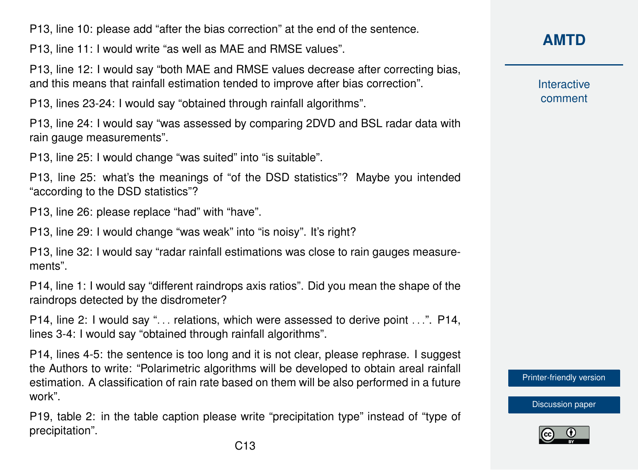P13, line 10: please add "after the bias correction" at the end of the sentence.

P13, line 11: I would write "as well as MAE and RMSE values".

P13, line 12: I would say "both MAE and RMSE values decrease after correcting bias, and this means that rainfall estimation tended to improve after bias correction".

P13, lines 23-24: I would say "obtained through rainfall algorithms".

P13, line 24: I would say "was assessed by comparing 2DVD and BSL radar data with rain gauge measurements".

P13, line 25: I would change "was suited" into "is suitable".

P13, line 25: what's the meanings of "of the DSD statistics"? Maybe you intended "according to the DSD statistics"?

P13, line 26: please replace "had" with "have".

P13, line 29: I would change "was weak" into "is noisy". It's right?

P13, line 32: I would say "radar rainfall estimations was close to rain gauges measurements".

P14, line 1: I would say "different raindrops axis ratios". Did you mean the shape of the raindrops detected by the disdrometer?

P14, line 2: I would say "... relations, which were assessed to derive point ...". P14, lines 3-4: I would say "obtained through rainfall algorithms".

P14, lines 4-5: the sentence is too long and it is not clear, please rephrase. I suggest the Authors to write: "Polarimetric algorithms will be developed to obtain areal rainfall estimation. A classification of rain rate based on them will be also performed in a future work".

P19, table 2: in the table caption please write "precipitation type" instead of "type of precipitation".

**[AMTD](http://www.atmos-meas-tech-discuss.net/)**

Interactive comment

[Printer-friendly version](http://www.atmos-meas-tech-discuss.net/amt-2016-14/amt-2016-14-RC5-print.pdf)